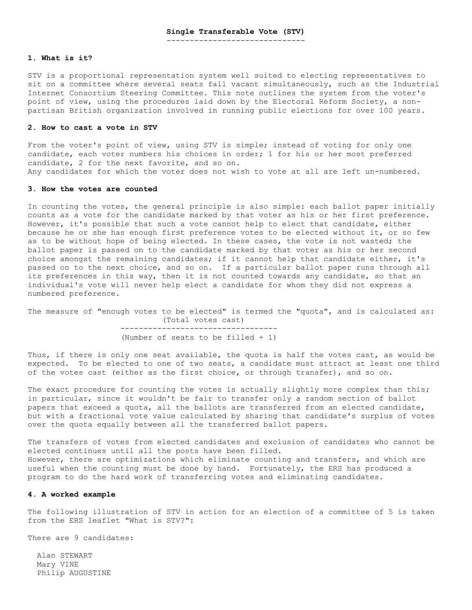------------------------------

### **1. What is it?**

STV is a proportional representation system well suited to electing representatives to sit on a committee where several seats fall vacant simultaneously, such as the Industrial Internet Consortium Steering Committee. This note outlines the system from the voter's point of view, using the procedures laid down by the Electoral Reform Society, a nonpartisan British organization involved in running public elections for over 100 years.

#### **2. How to cast a vote in STV**

From the voter's point of view, using STV is simple; instead of voting for only one candidate, each voter numbers his choices in order; 1 for his or her most preferred candidate, 2 for the next favorite, and so on. Any candidates for which the voter does not wish to vote at all are left un-numbered.

#### **3. How the votes are counted**

In counting the votes, the general principle is also simple: each ballot paper initially counts as a vote for the candidate marked by that voter as his or her first preference. However, it's possible that such a vote cannot help to elect that candidate, either because he or she has enough first preference votes to be elected without it, or so few as to be without hope of being elected. In these cases, the vote is not wasted; the ballot paper is passed on to the candidate marked by that voter as his or her second choice amongst the remaining candidates; if it cannot help that candidate either, it's passed on to the next choice, and so on. If a particular ballot paper runs through all its preferences in this way, then it is not counted towards any candidate, so that an individual's vote will never help elect a candidate for whom they did not express a numbered preference.

The measure of "enough votes to be elected" is termed the "quota", and is calculated as: (Total votes cast) ----------------------------------

(Number of seats to be filled + 1)

Thus, if there is only one seat available, the quota is half the votes cast, as would be expected. To be elected to one of two seats, a candidate must attract at least one third of the votes cast (either as the first choice, or through transfer), and so on.

The exact procedure for counting the votes is actually slightly more complex than this; in particular, since it wouldn't be fair to transfer only a random section of ballot papers that exceed a quota, all the ballots are transferred from an elected candidate, but with a fractional vote value calculated by sharing that candidate's surplus of votes over the quota equally between all the transferred ballot papers.

The transfers of votes from elected candidates and exclusion of candidates who cannot be elected continues until all the posts have been filled. However, there are optimizations which eliminate counting and transfers, and which are useful when the counting must be done by hand. Fortunately, the ERS has produced a program to do the hard work of transferring votes and eliminating candidates.

## **4. A worked example**

The following illustration of STV in action for an election of a committee of 5 is taken from the ERS leaflet "What is STV?":

There are 9 candidates:

 Alan STEWART Mary VINE Philip AUGUSTINE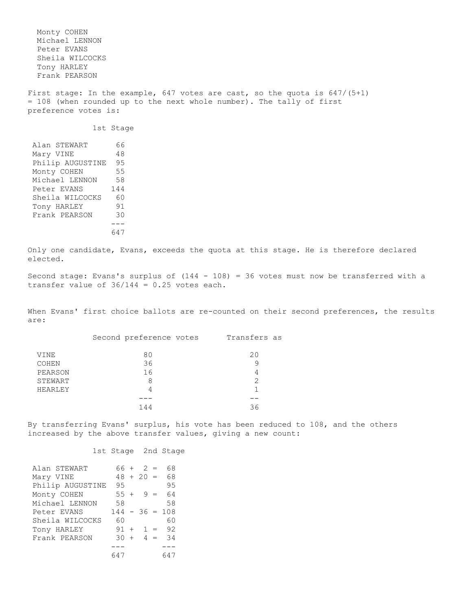Monty COHEN Michael LENNON Peter EVANS Sheila WILCOCKS Tony HARLEY Frank PEARSON First stage: In the example, 647 votes are cast, so the quota is 647/(5+1) = 108 (when rounded up to the next whole number). The tally of first preference votes is: 1st Stage Alan STEWART 66 Mary VINE 48 Philip AUGUSTINE 95 Monty COHEN 55 Michael LENNON 58 Peter EVANS 144 Sheila WILCOCKS 60 Tony HARLEY 91 Frank PEARSON 30 --- 647 Only one candidate, Evans, exceeds the quota at this stage. He is therefore declared elected. Second stage: Evans's surplus of  $(144 - 108) = 36$  votes must now be transferred with a transfer value of  $36/144 = 0.25$  votes each. When Evans' first choice ballots are re-counted on their second preferences, the results are: Second preference votes Transfers as VINE 80 20 COHEN 36 9 PEARSON 16 4 STEWART 8 8 2 HEARLEY 4 1 --- -- 144 36 By transferring Evans' surplus, his vote has been reduced to 108, and the others increased by the above transfer values, giving a new count: 1st Stage 2nd Stage Alan STEWART 66 + 2 = 68 Mary VINE 48 + 20 = 68 Philip AUGUSTINE 95 95 Monty COHEN 55 + 9 = 64<br>Michael LENNON 58 58

Michael LENNON Peter EVANS 144 - 36 = 108 Sheila WILCOCKS 60 60 Tony HARLEY 91 + 1 = 92 Frank PEARSON  $30 + 4 = 34$  --- --- 647 647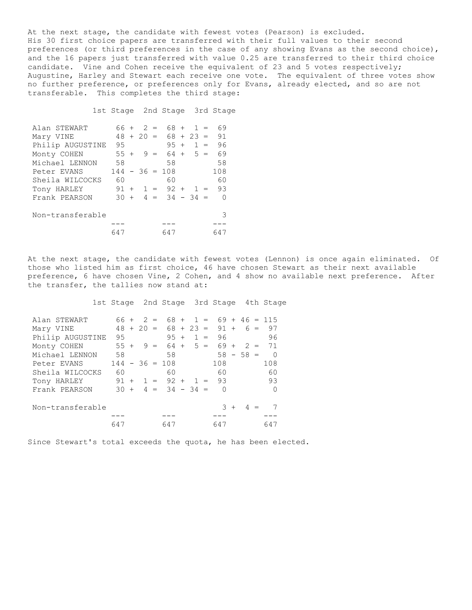At the next stage, the candidate with fewest votes (Pearson) is excluded. His 30 first choice papers are transferred with their full values to their second preferences (or third preferences in the case of any showing Evans as the second choice), and the 16 papers just transferred with value 0.25 are transferred to their third choice candidate. Vine and Cohen receive the equivalent of 23 and 5 votes respectively; Augustine, Harley and Stewart each receive one vote. The equivalent of three votes show no further preference, or preferences only for Evans, already elected, and so are not transferable. This completes the third stage:

1st Stage 2nd Stage 3rd Stage

| Alan STEWART     | 66 +   |     | 2           | $=$ | 68 +             |             | $1 =$ | 69  |
|------------------|--------|-----|-------------|-----|------------------|-------------|-------|-----|
| Mary VINE        |        |     | $48 + 20 =$ |     |                  | $68 + 23 =$ |       | 91  |
| Philip AUGUSTINE | 95     |     |             |     | $95 +$           |             | $1 =$ | 96  |
| Monty COHEN      | $55 +$ |     | 9.          | $=$ | $64 +$           |             | $5 =$ | 69  |
| Michael LENNON   | 58     |     |             |     | 58               |             |       | 58  |
| Peter EVANS      |        |     |             |     | $144 - 36 = 108$ |             |       | 108 |
| Sheila WILCOCKS  | 60     |     |             |     | 60               |             |       | 60  |
| Tony HARLEY      |        |     |             |     | $91 + 1 = 92 +$  |             | $1 =$ | 93  |
| Frank PEARSON    | 30     | $+$ |             |     | $4 = 34 - 34 =$  |             |       | Ω   |
|                  |        |     |             |     |                  |             |       |     |
| Non-transferable |        |     |             |     |                  |             |       | 3   |
|                  |        |     |             |     |                  |             |       |     |
|                  | 647    |     |             |     | 647              |             |       |     |

At the next stage, the candidate with fewest votes (Lennon) is once again eliminated. Of those who listed him as first choice, 46 have chosen Stewart as their next available preference, 6 have chosen Vine, 2 Cohen, and 4 show no available next preference. After the transfer, the tallies now stand at:

1st Stage 2nd Stage 3rd Stage 4th Stage

| Alan STEWART     | 66 +   |         | $2 =$ | $68 +$           | $1 =$       |          |                |             |       | $69 + 46 = 115$ |
|------------------|--------|---------|-------|------------------|-------------|----------|----------------|-------------|-------|-----------------|
| Mary VINE        | 48     | $+20 =$ |       |                  | $68 + 23 =$ | $91 +$   |                |             | $6 =$ | 97              |
| Philip AUGUSTINE | 95     |         |       | $95 +$           | $1 =$       | 96       |                |             |       | 96              |
| Monty COHEN      | $55 +$ |         | $9 =$ |                  | $64 + 5 =$  | $69 +$   |                | $2 =$       |       | 71              |
| Michael LENNON   | 58     |         |       | 58               |             |          |                | $58 - 58 =$ |       | $\cap$          |
| Peter EVANS      |        |         |       | $144 - 36 = 108$ |             | 108      |                |             |       | 108             |
| Sheila WILCOCKS  | 60     |         |       | 60               |             | 60       |                |             |       | 60              |
| Tony HARLEY      |        |         |       | $91 + 1 = 92 +$  | $1 =$       | 93       |                |             |       | 93              |
| Frank PEARSON    | $30 +$ |         |       | $4 = 34 - 34 =$  |             | $\Omega$ |                |             |       | ∩               |
|                  |        |         |       |                  |             |          |                |             |       |                 |
| Non-transferable |        |         |       |                  |             | २        | $\overline{+}$ |             |       |                 |
|                  |        |         |       |                  |             |          |                |             |       |                 |
|                  | 647    |         |       | 647              |             | 647      |                |             |       | 647             |

Since Stewart's total exceeds the quota, he has been elected.